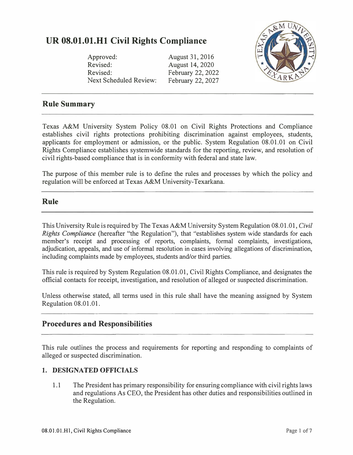# **UR 08.01.01.Hl Civil Rights Compliance**

| & MUNIC |  |
|---------|--|
|         |  |
|         |  |
|         |  |
| RK      |  |

Approved: Revised: Revised: Next Scheduled Review: August 31, 2016 August 14, 2020 February 22, 2022 February 22, 2027

## **Rule Summary**

Texas A&M University System Policy 08.01 on Civil Rights Protections and Compliance establishes civil rights protections prohibiting discrimination against employees, students, applicants for employment or admission, or the public. System Regulation 08.01.01 on Civil Rights Compliance establishes systemwide standards for the reporting, review, and resolution of civil rights-based compliance that is in conformity with federal and state law.

The purpose of this member rule is to define the rules and processes by which the policy and regulation will be enforced at Texas A&M University-Texarkana.

### **Rule**

This University Rule is required by The Texas A&M University System Regulation 08.01.01, *Civil Rights Compliance* (hereafter "the Regulation"), that "establishes system wide standards for each member's receipt and processing of reports, complaints, formal complaints, investigations, adjudication, appeals, and use of informal resolution in cases involving allegations of discrimination, including complaints made by employees, students and/or third parties.

This rule is required by System Regulation 08.01.01, Civil Rights Compliance, and designates the official contacts for receipt, investigation, and resolution of alleged or suspected discrimination.

Unless otherwise stated, all terms used in this rule shall have the meaning assigned by System Regulation 08.01.01.

### **Procedures and Responsibilities**

This rule outlines the process and requirements for reporting and responding to complaints of alleged or suspected discrimination.

### **1. DESIGNATED OFFICIALS**

1.1 The President has primary responsibility for ensuring compliance with civil rights laws and regulations As CEO, the President has other duties and responsibilities outlined in the Regulation.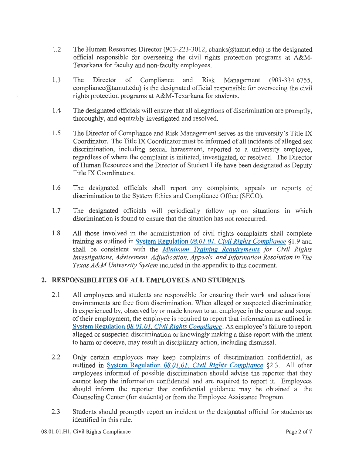- $1.2$ The Human Resources Director (903-223-3012, cbanks@tamut.edu) is the designated official responsible for overseeing the civil rights protection programs at A&M-Texarkana for faculty and non-faculty employees.
- 1.3 The Director of Compliance and Risk Management (903-334-6755, compliance  $\omega$  tamuted u) is the designated official responsible for overseeing the civil rights protection programs at A&M-Texarkana for students.
- The designated officials will ensure that all allegations of discrimination are promptly, 1.4 thoroughly, and equitably investigated and resolved.
- 1.5 The Director of Compliance and Risk Management serves as the university's Title IX Coordinator. The Title IX Coordinator must be informed of all incidents of alleged sex discrimination, including sexual harassment, reported to a university employee, regardless of where the complaint is initiated, investigated, or resolved. The Director of Human Resources and the Director of Student Life have been designated as Deputy Title IX Coordinators.
- 1.6 The designated officials shall report any complaints, appeals or reports of discrimination to the System Ethics and Compliance Office (SECO).
- 1.7 The designated officials will periodically follow up on situations in which discrimination is found to ensure that the situation has not reoccurred.
- 1.8 All those involved in the administration of civil rights complaints shall complete training as outlined in System Regulation  $08.01.01$ , Civil Rights Compliance §1.9 and shall be consistent with the Minimum Training Requirements for Civil Rights Investigations, Advisement, Adjudication, Appeals, and Information Resolution in The Texas A&M University System included in the appendix to this document.

### 2. RESPONSIBILITIES OF ALL EMPLOYEES AND STUDENTS

- $2.1$ All employees and students are responsible for ensuring their work and educational environments are free from discrimination. When alleged or suspected discrimination is experienced by, observed by or made known to an employee in the course and scope of their employment, the employee is required to report that information as outlined in System Regulation 08.01.01, Civil Rights Compliance. An employee's failure to report alleged or suspected discrimination or knowingly making a false report with the intent to harm or deceive, may result in disciplinary action, including dismissal.
- $2.2$ Only certain employees may keep complaints of discrimination confidential, as outlined in System Regulation 08.01.01, Civil Rights Compliance §2.3. All other employees informed of possible discrimination should advise the reporter that they cannot keep the information confidential and are required to report it. Employees should inform the reporter that confidential guidance may be obtained at the Counseling Center (for students) or from the Employee Assistance Program.
- $2.3$ Students should promptly report an incident to the designated official for students as identified in this rule.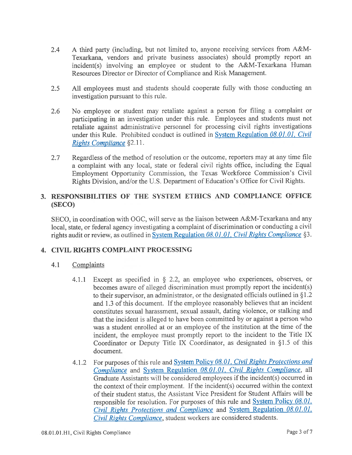- A third party (including, but not limited to, anyone receiving services from A&M- $2.4$ Texarkana, vendors and private business associates) should promptly report an incident(s) involving an employee or student to the A&M-Texarkana Human Resources Director or Director of Compliance and Risk Management.
- $2.5$ All employees must and students should cooperate fully with those conducting an investigation pursuant to this rule.
- No employee or student may retaliate against a person for filing a complaint or 2.6 participating in an investigation under this rule. Employees and students must not retaliate against administrative personnel for processing civil rights investigations under this Rule. Prohibited conduct is outlined in System Regulation 08.01.01, Civil Rights Compliance §2.11.
- $2.7$ Regardless of the method of resolution or the outcome, reporters may at any time file a complaint with any local, state or federal civil rights office, including the Equal Employment Opportunity Commission, the Texas Workforce Commission's Civil Rights Division, and/or the U.S. Department of Education's Office for Civil Rights.

### 3. RESPONSIBILITIES OF THE SYSTEM ETHICS AND COMPLIANCE OFFICE (SECO)

SECO, in coordination with OGC, will serve as the liaison between A&M-Texarkana and any local, state, or federal agency investigating a complaint of discrimination or conducting a civil rights audit or review, as outlined in System Regulation 08.01.01, Civil Rights Compliance §3.

### 4. CIVIL RIGHTS COMPLAINT PROCESSING

- $4.1$ Complaints
	- 4.1.1 Except as specified in  $\S$  2.2, an employee who experiences, observes, or becomes aware of alleged discrimination must promptly report the incident(s) to their supervisor, an administrator, or the designated officials outlined in  $\S1.2$ and 1.3 of this document. If the employee reasonably believes that an incident constitutes sexual harassment, sexual assault, dating violence, or stalking and that the incident is alleged to have been committed by or against a person who was a student enrolled at or an employee of the institution at the time of the incident, the employee must promptly report to the incident to the Title IX Coordinator or Deputy Title IX Coordinator, as designated in §1.5 of this document.
	- For purposes of this rule and System Policy 08.01, Civil Rights Protections and  $4.1.2$ Compliance and System Regulation 08.01.01, Civil Rights Compliance, all Graduate Assistants will be considered employees if the incident(s) occurred in the context of their employment. If the incident(s) occurred within the context of their student status, the Assistant Vice President for Student Affairs will be responsible for resolution. For purposes of this rule and  $System Policy 08.01$ . Civil Rights Protections and Compliance and System Regulation 08.01.01. Civil Rights Compliance, student workers are considered students.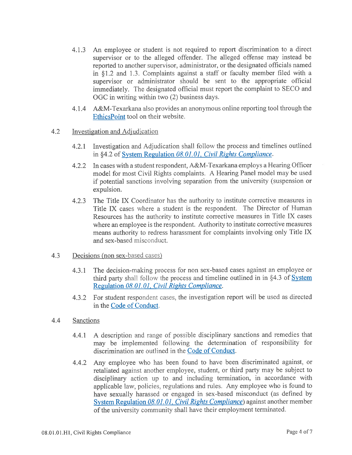- An employee or student is not required to report discrimination to a direct  $4.1.3$ supervisor or to the alleged offender. The alleged offense may instead be reported to another supervisor, administrator, or the designated officials named in §1.2 and 1.3. Complaints against a staff or faculty member filed with a supervisor or administrator should be sent to the appropriate official immediately. The designated official must report the complaint to SECO and OGC in writing within two (2) business days.
- A&M-Texarkana also provides an anonymous online reporting tool through the  $4.1.4$ EthicsPoint tool on their website.

#### $4.2$ Investigation and Adjudication

- 4.2.1 Investigation and Adjudication shall follow the process and timelines outlined in \$4.2 of System Regulation 08.01.01, Civil Rights Compliance.
- In cases with a student respondent, A&M-Texarkana employs a Hearing Officer  $4.2.2$ model for most Civil Rights complaints. A Hearing Panel model may be used if potential sanctions involving separation from the university (suspension or expulsion.
- The Title IX Coordinator has the authority to institute corrective measures in  $4.2.3$ Title IX cases where a student is the respondent. The Director of Human Resources has the authority to institute corrective measures in Title IX cases where an employee is the respondent. Authority to institute corrective measures means authority to redress harassment for complaints involving only Title IX and sex-based misconduct.

#### 4.3 Decisions (non sex-based cases)

- 4.3.1 The decision-making process for non sex-based cases against an employee or third party shall follow the process and timeline outlined in in §4.3 of System Regulation 08.01.01, Civil Rights Compliance.
- 4.3.2 For student respondent cases, the investigation report will be used as directed in the Code of Conduct.
- $4.4$ **Sanctions** 
	- A description and range of possible disciplinary sanctions and remedies that  $4.4.1$ may be implemented following the determination of responsibility for discrimination are outlined in the Code of Conduct.
	- Any employee who has been found to have been discriminated against, or 4.4.2 retaliated against another employee, student, or third party may be subject to disciplinary action up to and including termination, in accordance with applicable law, policies, regulations and rules. Any employee who is found to have sexually harassed or engaged in sex-based misconduct (as defined by System Regulation 08.01.01, Civil Rights Compliance) against another member of the university community shall have their employment terminated.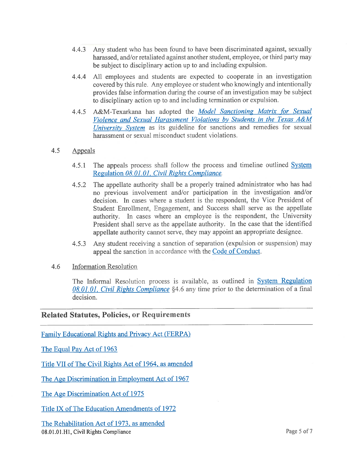- 4.4.3 Any student who has been found to have been discriminated against, sexually harassed, and/or retaliated against another student, employee, or third party may be subject to disciplinary action up to and including expulsion.
- All employees and students are expected to cooperate in an investigation  $4.4.4$ covered by this rule. Any employee or student who knowingly and intentionally provides false information during the course of an investigation may be subject to disciplinary action up to and including termination or expulsion.
- A&M-Texarkana has adopted the Model Sanctioning Matrix for Sexual  $4.4.5$ Violence and Sexual Harassment Violations by Students in the Texas A&M University System as its guideline for sanctions and remedies for sexual harassment or sexual misconduct student violations.

#### $4.5$ Appeals

- The appeals process shall follow the process and timeline outlined System  $4.5.1$ Regulation 08.01.01, Civil Rights Compliance.
- The appellate authority shall be a properly trained administrator who has had  $4.5.2$ no previous involvement and/or participation in the investigation and/or decision. In cases where a student is the respondent, the Vice President of Student Enrollment, Engagement, and Success shall serve as the appellate authority. In cases where an employee is the respondent, the University President shall serve as the appellate authority. In the case that the identified appellate authority cannot serve, they may appoint an appropriate designee.
- Any student receiving a sanction of separation (expulsion or suspension) may  $4.5.3$ appeal the sanction in accordance with the Code of Conduct.

#### 4.6 **Information Resolution**

The Informal Resolution process is available, as outlined in System Regulation 08.01.01, Civil Rights Compliance §4.6 any time prior to the determination of a final decision.

### **Related Statutes, Policies, or Requirements**

Family Educational Rights and Privacy Act (FERPA)

The Equal Pay Act of 1963

Title VII of The Civil Rights Act of 1964, as amended

The Age Discrimination in Employment Act of 1967

The Age Discrimination Act of 1975

Title IX of The Education Amendments of 1972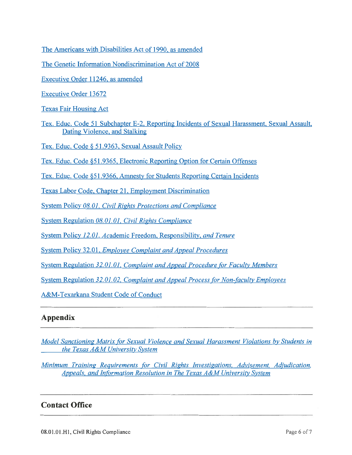The Americans with Disabilities Act of 1990, as amended

The Genetic Information Nondiscrimination Act of 2008

Executive Order 11246, as amended

**Executive Order 13672** 

**Texas Fair Housing Act** 

Tex. Educ. Code 51 Subchapter E-2, Reporting Incidents of Sexual Harassment, Sexual Assault, Dating Violence, and Stalking

Tex. Educ. Code § 51.9363, Sexual Assault Policy

Tex. Educ. Code §51.9365, Electronic Reporting Option for Certain Offenses

Tex. Educ. Code §51.9366, Amnesty for Students Reporting Certain Incidents

Texas Labor Code, Chapter 21, Employment Discrimination

System Policy 08.01, Civil Rights Protections and Compliance

System Regulation 08.01.01, Civil Rights Compliance

System Policy 12.01, Academic Freedom, Responsibility, and Tenure

**System Policy 32.01, Employee Complaint and Appeal Procedures** 

System Regulation 32.01.01, Complaint and Appeal Procedure for Faculty Members

System Regulation 32.01.02, Complaint and Appeal Process for Non-faculty Employees

A&M-Texarkana Student Code of Conduct

## Appendix

Model Sanctioning Matrix for Sexual Violence and Sexual Harassment Violations by Students in the Texas A&M University System

Minimum Training Requirements for Civil Rights Investigations, Advisement, Adjudication, Appeals, and Information Resolution in The Texas A&M University System

## **Contact Office**